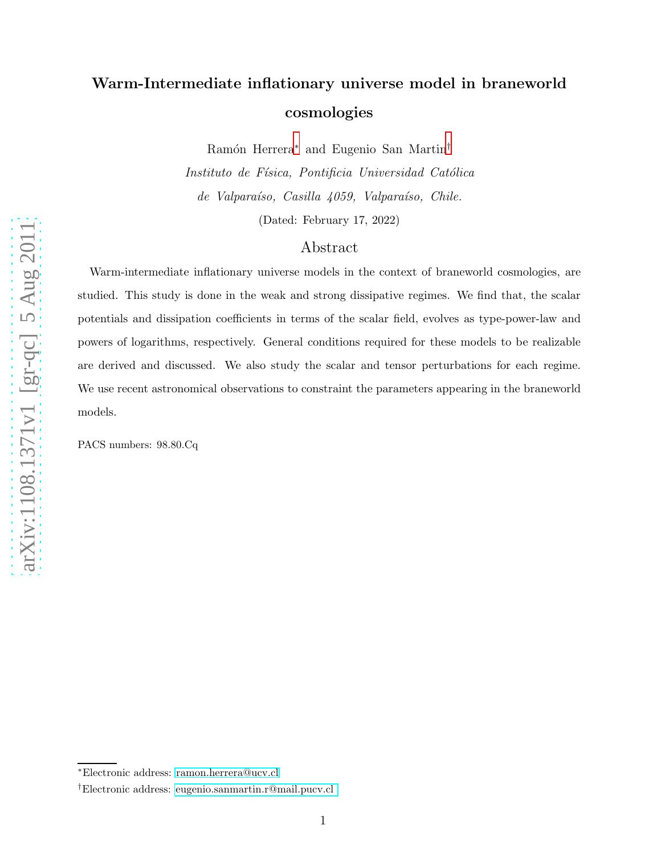# Warm-Intermediate inflationary universe model in braneworld cosmologies

Ramón Herrera<sup>\*</sup> and Eugenio San Martin<sup>[†](#page-0-1)</sup>

Instituto de Física, Pontificia Universidad Católica de Valparaíso, Casilla 4059, Valparaíso, Chile. (Dated: February 17, 2022)

### Abstract

Warm-intermediate inflationary universe models in the context of braneworld cosmologies, are studied. This study is done in the weak and strong dissipative regimes. We find that, the scalar potentials and dissipation coefficients in terms of the scalar field, evolves as type-power-law and powers of logarithms, respectively. General conditions required for these models to be realizable are derived and discussed. We also study the scalar and tensor perturbations for each regime. We use recent astronomical observations to constraint the parameters appearing in the braneworld models.

PACS numbers: 98.80.Cq

<span id="page-0-1"></span><span id="page-0-0"></span><sup>∗</sup>Electronic address: [ramon.herrera@ucv.cl](mailto:ramon.herrera@ucv.cl)

<sup>†</sup>Electronic address: [eugenio.sanmartin.r@mail.pucv.cl](mailto:eugenio.sanmartin.r@mail.pucv.cl )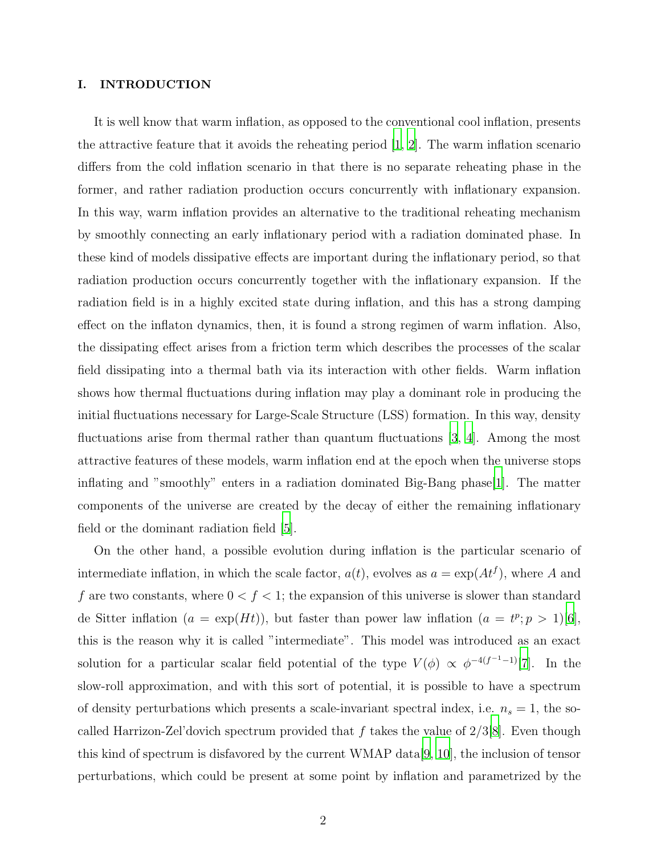#### I. INTRODUCTION

It is well know that warm inflation, as opposed to the conventional cool inflation, presents the attractive feature that it avoids the reheating period [\[1,](#page-16-0) [2](#page-16-1)]. The warm inflation scenario differs from the cold inflation scenario in that there is no separate reheating phase in the former, and rather radiation production occurs concurrently with inflationary expansion. In this way, warm inflation provides an alternative to the traditional reheating mechanism by smoothly connecting an early inflationary period with a radiation dominated phase. In these kind of models dissipative effects are important during the inflationary period, so that radiation production occurs concurrently together with the inflationary expansion. If the radiation field is in a highly excited state during inflation, and this has a strong damping effect on the inflaton dynamics, then, it is found a strong regimen of warm inflation. Also, the dissipating effect arises from a friction term which describes the processes of the scalar field dissipating into a thermal bath via its interaction with other fields. Warm inflation shows how thermal fluctuations during inflation may play a dominant role in producing the initial fluctuations necessary for Large-Scale Structure (LSS) formation. In this way, density fluctuations arise from thermal rather than quantum fluctuations [\[3](#page-16-2), [4\]](#page-16-3). Among the most attractive features of these models, warm inflation end at the epoch when the universe stops inflating and "smoothly" enters in a radiation dominated Big-Bang phase[\[1](#page-16-0)]. The matter components of the universe are created by the decay of either the remaining inflationary field or the dominant radiation field [\[5\]](#page-16-4).

On the other hand, a possible evolution during inflation is the particular scenario of intermediate inflation, in which the scale factor,  $a(t)$ , evolves as  $a = \exp(At^f)$ , where A and f are two constants, where  $0 < f < 1$ ; the expansion of this universe is slower than standard de Sitter inflation  $(a = \exp(Ht))$ , but faster than power law inflation  $(a = t^p; p > 1)$ [\[6\]](#page-16-5), this is the reason why it is called "intermediate". This model was introduced as an exact solution for a particular scalar field potential of the type  $V(\phi) \propto \phi^{-4(f^{-1}-1)}[7]$  $V(\phi) \propto \phi^{-4(f^{-1}-1)}[7]$  $V(\phi) \propto \phi^{-4(f^{-1}-1)}[7]$ . In the slow-roll approximation, and with this sort of potential, it is possible to have a spectrum of density perturbations which presents a scale-invariant spectral index, i.e.  $n_s = 1$ , the socalled Harrizon-Zel'dovich spectrum provided that f takes the value of  $2/3[8]$  $2/3[8]$ . Even though this kind of spectrum is disfavored by the current WMAP data[\[9,](#page-16-8) [10\]](#page-16-9), the inclusion of tensor perturbations, which could be present at some point by inflation and parametrized by the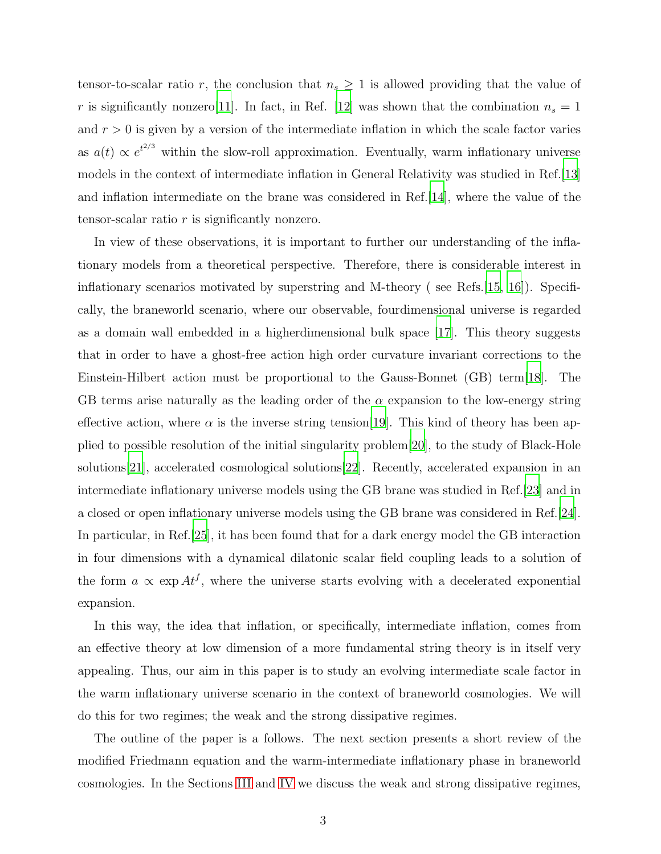tensor-to-scalar ratio r, the conclusion that  $n_s \geq 1$  is allowed providing that the value of r is significantly nonzero[11]. In fact, in Ref. [\[12\]](#page-17-0) was shown that the combination  $n_s = 1$ and  $r > 0$  is given by a version of the intermediate inflation in which the scale factor varies as  $a(t) \propto e^{t^{2/3}}$  within the slow-roll approximation. Eventually, warm inflationary universe models in the context of intermediate inflation in General Relativity was studied in Ref.[\[13\]](#page-17-1) and inflation intermediate on the brane was considered in Ref.[\[14](#page-17-2)], where the value of the tensor-scalar ratio r is significantly nonzero.

In view of these observations, it is important to further our understanding of the inflationary models from a theoretical perspective. Therefore, there is considerable interest in inflationary scenarios motivated by superstring and M-theory (see Refs. [\[15](#page-17-3), [16\]](#page-17-4)). Specifically, the braneworld scenario, where our observable, fourdimensional universe is regarded as a domain wall embedded in a higherdimensional bulk space [\[17](#page-17-5)]. This theory suggests that in order to have a ghost-free action high order curvature invariant corrections to the Einstein-Hilbert action must be proportional to the Gauss-Bonnet (GB) term[\[18\]](#page-17-6). The GB terms arise naturally as the leading order of the  $\alpha$  expansion to the low-energy string effective action, where  $\alpha$  is the inverse string tension[\[19](#page-17-7)]. This kind of theory has been applied to possible resolution of the initial singularity problem[\[20](#page-17-8)], to the study of Black-Hole solutions[\[21\]](#page-17-9), accelerated cosmological solutions[\[22\]](#page-17-10). Recently, accelerated expansion in an intermediate inflationary universe models using the GB brane was studied in Ref.[\[23\]](#page-17-11) and in a closed or open inflationary universe models using the GB brane was considered in Ref.[\[24\]](#page-17-12). In particular, in Ref.[\[25\]](#page-17-13), it has been found that for a dark energy model the GB interaction in four dimensions with a dynamical dilatonic scalar field coupling leads to a solution of the form  $a \propto \exp At^f$ , where the universe starts evolving with a decelerated exponential expansion.

In this way, the idea that inflation, or specifically, intermediate inflation, comes from an effective theory at low dimension of a more fundamental string theory is in itself very appealing. Thus, our aim in this paper is to study an evolving intermediate scale factor in the warm inflationary universe scenario in the context of braneworld cosmologies. We will do this for two regimes; the weak and the strong dissipative regimes.

The outline of the paper is a follows. The next section presents a short review of the modified Friedmann equation and the warm-intermediate inflationary phase in braneworld cosmologies. In the Sections [III](#page-7-0) and [IV](#page-12-0) we discuss the weak and strong dissipative regimes,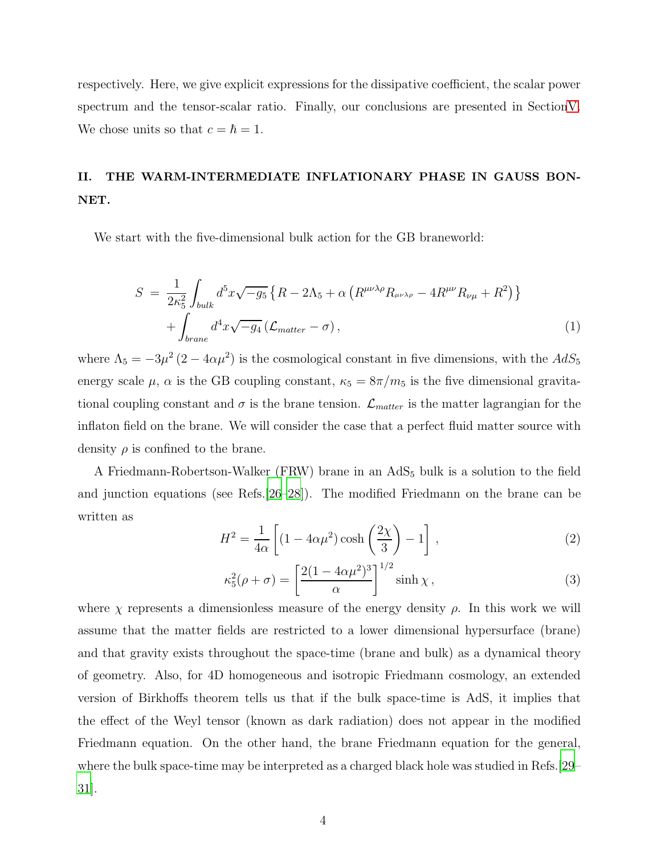respectively. Here, we give explicit expressions for the dissipative coefficient, the scalar power spectrum and the tensor-scalar ratio. Finally, our conclusions are presented in Sectio[nV.](#page-15-0) We chose units so that  $c = \hbar = 1$ .

## II. THE WARM-INTERMEDIATE INFLATIONARY PHASE IN GAUSS BON-NET.

We start with the five-dimensional bulk action for the GB braneworld:

$$
S = \frac{1}{2\kappa_5^2} \int_{bulk} d^5x \sqrt{-g_5} \left\{ R - 2\Lambda_5 + \alpha \left( R^{\mu\nu\lambda\rho} R_{\mu\nu\lambda\rho} - 4R^{\mu\nu} R_{\nu\mu} + R^2 \right) \right\} + \int_{brane} d^4x \sqrt{-g_4} \left( \mathcal{L}_{matter} - \sigma \right), \tag{1}
$$

where  $\Lambda_5 = -3\mu^2 (2 - 4\alpha \mu^2)$  is the cosmological constant in five dimensions, with the  $AdS_5$ energy scale  $\mu$ ,  $\alpha$  is the GB coupling constant,  $\kappa_5 = 8\pi/m_5$  is the five dimensional gravitational coupling constant and  $\sigma$  is the brane tension.  $\mathcal{L}_{matter}$  is the matter lagrangian for the inflaton field on the brane. We will consider the case that a perfect fluid matter source with density  $\rho$  is confined to the brane.

A Friedmann-Robertson-Walker (FRW) brane in an AdS<sub>5</sub> bulk is a solution to the field and junction equations (see Refs.[\[26](#page-17-14)[–28\]](#page-17-15)). The modified Friedmann on the brane can be written as

<span id="page-3-0"></span>
$$
H^{2} = \frac{1}{4\alpha} \left[ (1 - 4\alpha\mu^{2}) \cosh\left(\frac{2\chi}{3}\right) - 1 \right],
$$
 (2)

<span id="page-3-1"></span>
$$
\kappa_5^2(\rho + \sigma) = \left[\frac{2(1 - 4\alpha\mu^2)^3}{\alpha}\right]^{1/2} \sinh\chi,\tag{3}
$$

where  $\chi$  represents a dimensionless measure of the energy density  $\rho$ . In this work we will assume that the matter fields are restricted to a lower dimensional hypersurface (brane) and that gravity exists throughout the space-time (brane and bulk) as a dynamical theory of geometry. Also, for 4D homogeneous and isotropic Friedmann cosmology, an extended version of Birkhoffs theorem tells us that if the bulk space-time is AdS, it implies that the effect of the Weyl tensor (known as dark radiation) does not appear in the modified Friedmann equation. On the other hand, the brane Friedmann equation for the general, where the bulk space-time may be interpreted as a charged black hole was studied in Refs.[\[29](#page-17-16)– [31\]](#page-17-17).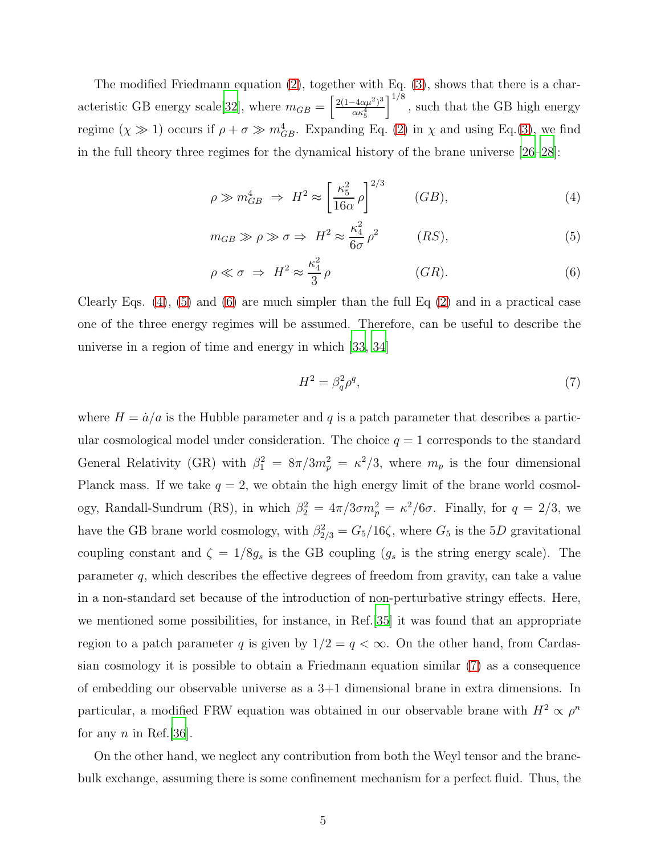The modified Friedmann equation [\(2\)](#page-3-0), together with Eq. [\(3\)](#page-3-1), shows that there is a char-acteristic GB energy scale [\[32](#page-17-18)], where  $m_{GB} = \left[\frac{2(1-4\alpha\mu^2)^3}{\alpha\kappa^4}\right]$ ακ<sup>4</sup> 5  $\big]^{1/8}$ , such that the GB high energy regime  $(\chi \gg 1)$  occurs if  $\rho + \sigma \gg m_{GB}^4$ . Expanding Eq. [\(2\)](#page-3-0) in  $\chi$  and using Eq. [\(3\)](#page-3-1), we find in the full theory three regimes for the dynamical history of the brane universe [\[26](#page-17-14)[–28](#page-17-15)]:

<span id="page-4-0"></span>
$$
\rho \gg m_{GB}^4 \Rightarrow H^2 \approx \left[\frac{\kappa_5^2}{16\alpha} \rho\right]^{2/3} \qquad (GB),\tag{4}
$$

<span id="page-4-1"></span>
$$
m_{GB} \gg \rho \gg \sigma \Rightarrow H^2 \approx \frac{\kappa_4^2}{6\sigma} \rho^2 \qquad (RS), \tag{5}
$$

<span id="page-4-2"></span>
$$
\rho \ll \sigma \implies H^2 \approx \frac{\kappa_4^2}{3} \rho \qquad (GR). \tag{6}
$$

Clearly Eqs.  $(4)$ ,  $(5)$  and  $(6)$  are much simpler than the full Eq  $(2)$  and in a practical case one of the three energy regimes will be assumed. Therefore, can be useful to describe the universe in a region of time and energy in which [\[33](#page-17-19), [34](#page-17-20)]

<span id="page-4-3"></span>
$$
H^2 = \beta_q^2 \rho^q,\tag{7}
$$

where  $H = \dot{a}/a$  is the Hubble parameter and q is a patch parameter that describes a particular cosmological model under consideration. The choice  $q = 1$  corresponds to the standard General Relativity (GR) with  $\beta_1^2 = 8\pi/3m_p^2 = \kappa^2/3$ , where  $m_p$  is the four dimensional Planck mass. If we take  $q = 2$ , we obtain the high energy limit of the brane world cosmology, Randall-Sundrum (RS), in which  $\beta_2^2 = 4\pi/3\sigma m_p^2 = \kappa^2/6\sigma$ . Finally, for  $q = 2/3$ , we have the GB brane world cosmology, with  $\beta_{2/3}^2 = G_5/16\zeta$ , where  $G_5$  is the 5D gravitational coupling constant and  $\zeta = 1/8g_s$  is the GB coupling  $(g_s$  is the string energy scale). The parameter q, which describes the effective degrees of freedom from gravity, can take a value in a non-standard set because of the introduction of non-perturbative stringy effects. Here, we mentioned some possibilities, for instance, in Ref.[\[35\]](#page-17-21) it was found that an appropriate region to a patch parameter q is given by  $1/2 = q < \infty$ . On the other hand, from Cardassian cosmology it is possible to obtain a Friedmann equation similar [\(7\)](#page-4-3) as a consequence of embedding our observable universe as a 3+1 dimensional brane in extra dimensions. In particular, a modified FRW equation was obtained in our observable brane with  $H^2 \propto \rho^n$ for any  $n$  in Ref.[\[36](#page-17-22)].

On the other hand, we neglect any contribution from both the Weyl tensor and the branebulk exchange, assuming there is some confinement mechanism for a perfect fluid. Thus, the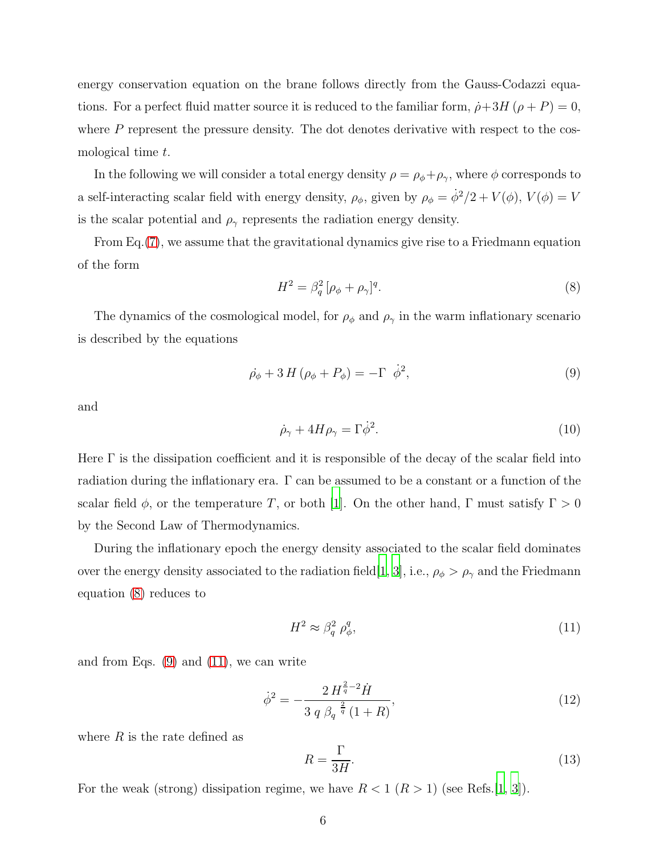energy conservation equation on the brane follows directly from the Gauss-Codazzi equations. For a perfect fluid matter source it is reduced to the familiar form,  $\dot{\rho}+3H(\rho+P)=0$ , where  $P$  represent the pressure density. The dot denotes derivative with respect to the cosmological time t.

In the following we will consider a total energy density  $\rho = \rho_{\phi} + \rho_{\gamma}$ , where  $\phi$  corresponds to a self-interacting scalar field with energy density,  $\rho_{\phi}$ , given by  $\rho_{\phi} = \dot{\phi}^2/2 + V(\phi)$ ,  $V(\phi) = V$ is the scalar potential and  $\rho_{\gamma}$  represents the radiation energy density.

From Eq.[\(7\)](#page-4-3), we assume that the gravitational dynamics give rise to a Friedmann equation of the form

<span id="page-5-0"></span>
$$
H^2 = \beta_q^2 \left[ \rho_\phi + \rho_\gamma \right]^q. \tag{8}
$$

The dynamics of the cosmological model, for  $\rho_{\phi}$  and  $\rho_{\gamma}$  in the warm inflationary scenario is described by the equations

<span id="page-5-1"></span>
$$
\dot{\rho}_{\phi} + 3H(\rho_{\phi} + P_{\phi}) = -\Gamma \dot{\phi}^{2}, \qquad (9)
$$

and

<span id="page-5-3"></span>
$$
\dot{\rho}_{\gamma} + 4H\rho_{\gamma} = \Gamma \dot{\phi}^2. \tag{10}
$$

Here  $\Gamma$  is the dissipation coefficient and it is responsible of the decay of the scalar field into radiation during the inflationary era. Γ can be assumed to be a constant or a function of the scalar field  $\phi$ , or the temperature T, or both [\[1\]](#page-16-0). On the other hand, Γ must satisfy  $\Gamma > 0$ by the Second Law of Thermodynamics.

During the inflationary epoch the energy density associated to the scalar field dominates over the energy density associated to the radiation field [\[1,](#page-16-0) [3\]](#page-16-2), i.e.,  $\rho_{\phi} > \rho_{\gamma}$  and the Friedmann equation [\(8\)](#page-5-0) reduces to

<span id="page-5-2"></span>
$$
H^2 \approx \beta_q^2 \; \rho_\phi^q,\tag{11}
$$

and from Eqs.  $(9)$  and  $(11)$ , we can write

<span id="page-5-4"></span>
$$
\dot{\phi}^2 = -\frac{2H^{\frac{2}{q}-2}\dot{H}}{3 q \beta_q^{-\frac{2}{q}}(1+R)},\tag{12}
$$

where  $R$  is the rate defined as

$$
R = \frac{\Gamma}{3H}.\tag{13}
$$

For the weak (strong) dissipation regime, we have  $R < 1 \ (R > 1)$  (see Refs.[\[1](#page-16-0), [3](#page-16-2)]).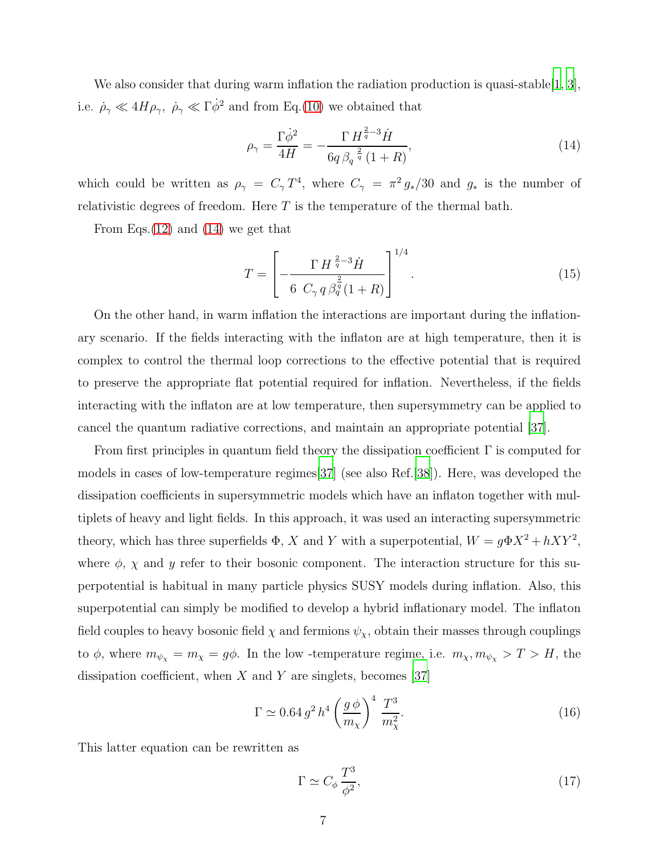We also consider that during warm inflation the radiation production is quasi-stable  $[1, 3]$  $[1, 3]$  $[1, 3]$ , i.e.  $\dot{\rho}_{\gamma} \ll 4H\rho_{\gamma}, \ \dot{\rho}_{\gamma} \ll \Gamma \dot{\phi}^2$  and from Eq.[\(10\)](#page-5-3) we obtained that

<span id="page-6-0"></span>
$$
\rho_{\gamma} = \frac{\Gamma \dot{\phi}^2}{4H} = -\frac{\Gamma H^{\frac{2}{q}-3} \dot{H}}{6q \beta_q^{\frac{2}{q}} (1+R)},\tag{14}
$$

which could be written as  $\rho_{\gamma} = C_{\gamma} T^4$ , where  $C_{\gamma} = \pi^2 g_*/30$  and  $g_*$  is the number of relativistic degrees of freedom. Here T is the temperature of the thermal bath.

From Eqs.[\(12\)](#page-5-4) and [\(14\)](#page-6-0) we get that

<span id="page-6-1"></span>
$$
T = \left[ -\frac{\Gamma H^{\frac{2}{q}-3} \dot{H}}{6 \ C_{\gamma} q \beta_q^{\frac{2}{q}} (1+R)} \right]^{1/4}.
$$
 (15)

On the other hand, in warm inflation the interactions are important during the inflationary scenario. If the fields interacting with the inflaton are at high temperature, then it is complex to control the thermal loop corrections to the effective potential that is required to preserve the appropriate flat potential required for inflation. Nevertheless, if the fields interacting with the inflaton are at low temperature, then supersymmetry can be applied to cancel the quantum radiative corrections, and maintain an appropriate potential [\[37\]](#page-18-0).

From first principles in quantum field theory the dissipation coefficient  $\Gamma$  is computed for models in cases of low-temperature regimes[\[37\]](#page-18-0) (see also Ref.[\[38](#page-18-1)]). Here, was developed the dissipation coefficients in supersymmetric models which have an inflaton together with multiplets of heavy and light fields. In this approach, it was used an interacting supersymmetric theory, which has three superfields  $\Phi$ , X and Y with a superpotential,  $W = g\Phi X^2 + hXY^2$ , where  $\phi$ ,  $\chi$  and  $y$  refer to their bosonic component. The interaction structure for this superpotential is habitual in many particle physics SUSY models during inflation. Also, this superpotential can simply be modified to develop a hybrid inflationary model. The inflaton field couples to heavy bosonic field  $\chi$  and fermions  $\psi_{\chi}$ , obtain their masses through couplings to  $\phi$ , where  $m_{\psi_{\chi}} = m_{\chi} = g\phi$ . In the low-temperature regime, i.e.  $m_{\chi}, m_{\psi_{\chi}} > T > H$ , the dissipation coefficient, when  $X$  and  $Y$  are singlets, becomes [\[37\]](#page-18-0)

$$
\Gamma \simeq 0.64 \, g^2 \, h^4 \left(\frac{g \, \phi}{m_\chi}\right)^4 \, \frac{T^3}{m_\chi^2}.\tag{16}
$$

This latter equation can be rewritten as

$$
\Gamma \simeq C_{\phi} \frac{T^3}{\phi^2},\tag{17}
$$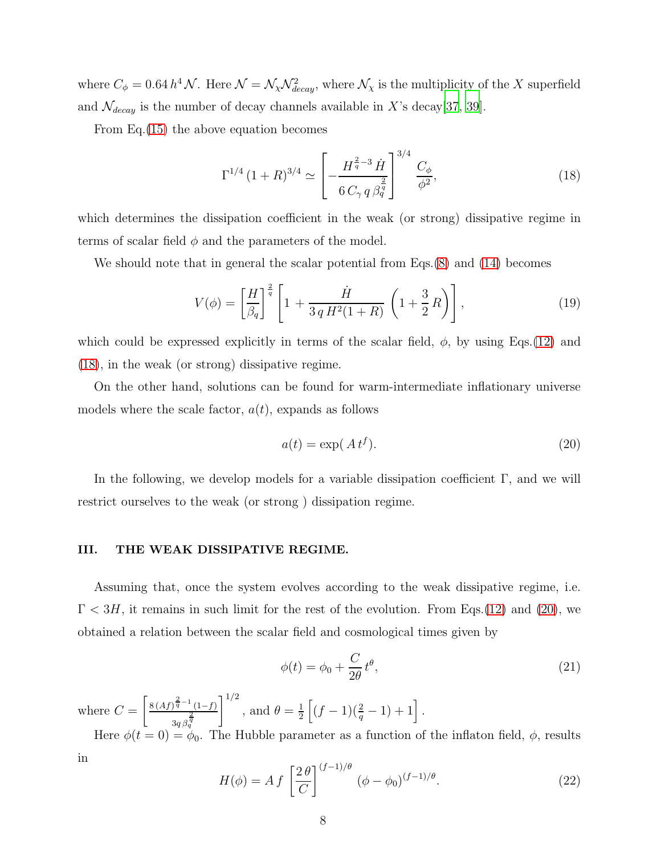where  $C_{\phi} = 0.64 h^4 \mathcal{N}$ . Here  $\mathcal{N} = \mathcal{N}_{\chi} \mathcal{N}_{decay}^2$ , where  $\mathcal{N}_{\chi}$  is the multiplicity of the X superfield and  $\mathcal{N}_{decay}$  is the number of decay channels available in X's decay[\[37](#page-18-0), [39](#page-18-2)].

From Eq.[\(15\)](#page-6-1) the above equation becomes

<span id="page-7-1"></span>
$$
\Gamma^{1/4} (1+R)^{3/4} \simeq \left[ -\frac{H^{\frac{2}{q}-3} \dot{H}}{6 C_{\gamma} q \beta_q^{\frac{2}{q}}} \right]^{3/4} \frac{C_{\phi}}{\phi^2},\tag{18}
$$

which determines the dissipation coefficient in the weak (or strong) dissipative regime in terms of scalar field  $\phi$  and the parameters of the model.

We should note that in general the scalar potential from Eqs.[\(8\)](#page-5-0) and [\(14\)](#page-6-0) becomes

<span id="page-7-3"></span>
$$
V(\phi) = \left[\frac{H}{\beta_q}\right]^{\frac{2}{q}} \left[1 + \frac{\dot{H}}{3 q H^2 (1+R)} \left(1 + \frac{3}{2} R\right)\right],\tag{19}
$$

which could be expressed explicitly in terms of the scalar field,  $\phi$ , by using Eqs.[\(12\)](#page-5-4) and [\(18\)](#page-7-1), in the weak (or strong) dissipative regime.

On the other hand, solutions can be found for warm-intermediate inflationary universe models where the scale factor,  $a(t)$ , expands as follows

<span id="page-7-2"></span>
$$
a(t) = \exp(A t^f). \tag{20}
$$

In the following, we develop models for a variable dissipation coefficient  $\Gamma$ , and we will restrict ourselves to the weak (or strong ) dissipation regime.

#### <span id="page-7-0"></span>III. THE WEAK DISSIPATIVE REGIME.

Assuming that, once the system evolves according to the weak dissipative regime, i.e.  $\Gamma < 3H$ , it remains in such limit for the rest of the evolution. From Eqs.[\(12\)](#page-5-4) and [\(20\)](#page-7-2), we obtained a relation between the scalar field and cosmological times given by

<span id="page-7-4"></span>
$$
\phi(t) = \phi_0 + \frac{C}{2\theta} t^{\theta},\tag{21}
$$

where  $C =$  $\int 8 (Af)^{\frac{2}{q}-1} (1-f)^{\frac{2}{q}}$  $\frac{2}{3q}\frac{q}{\beta_q^{\,q}}$  $\vert\!\vert^{1/2}$ , and  $\theta = \frac{1}{2}$  $\frac{1}{2}\left[ (f-1)(\frac{2}{q}-1)+1\right].$ 

Here  $\phi(t=0) = \phi_0$ . The Hubble parameter as a function of the inflaton field,  $\phi$ , results in

$$
H(\phi) = A f \left[ \frac{2 \theta}{C} \right]^{(f-1)/\theta} (\phi - \phi_0)^{(f-1)/\theta}.
$$
 (22)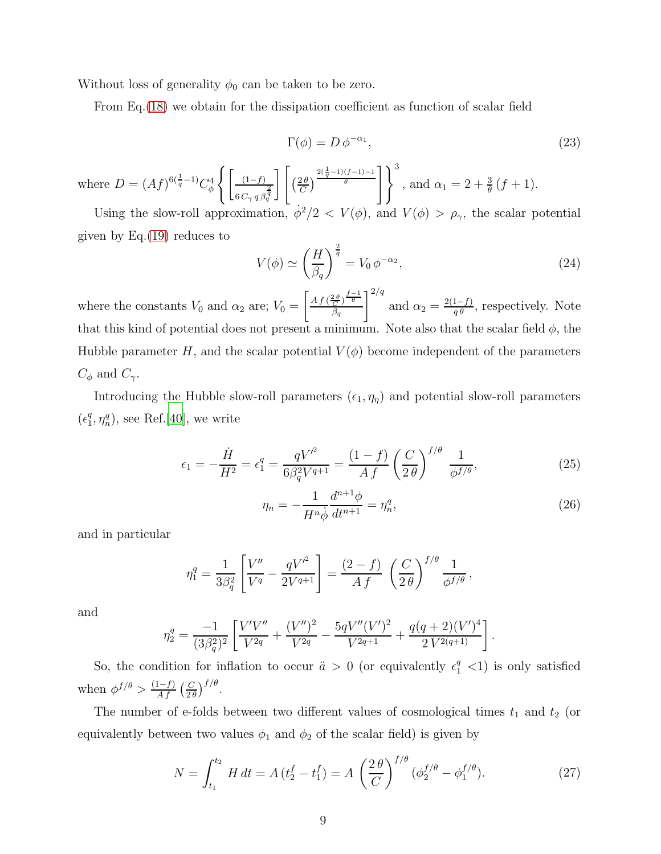Without loss of generality  $\phi_0$  can be taken to be zero.

From Eq.[\(18\)](#page-7-1) we obtain for the dissipation coefficient as function of scalar field

$$
\Gamma(\phi) = D \, \phi^{-\alpha_1},\tag{23}
$$

where  $D = (Af)^{6(\frac{1}{q}-1)}C_{\phi}^4$  $\int \left[ (1-f) \right]$  $6\,C_\gamma\,q\,\beta_q^{\tfrac{2}{q}}$ ת ו  $\left(\frac{2\theta}{C}\right)$  $\frac{2\theta}{C}$  $\frac{2(\frac{1}{q}-1)(f-1)-1}{\theta}$ , and  $\alpha_1 = 2 + \frac{3}{\theta} (f + 1)$ .

Using the slow-roll approximation,  $\dot{\phi}^2/2 < V(\phi)$ , and  $V(\phi) > \rho_{\gamma}$ , the scalar potential given by  $Eq.(19)$  $Eq.(19)$  reduces to

$$
V(\phi) \simeq \left(\frac{H}{\beta_q}\right)^{\frac{2}{q}} = V_0 \,\phi^{-\alpha_2},\tag{24}
$$

where the constants  $V_0$  and  $\alpha_2$  are;  $V_0 =$  $\int Af\left(\frac{2\theta}{C}\right)^{\frac{f-1}{\theta}}$  $\beta_q$  $\vert^{2/q}$ and  $\alpha_2 = \frac{2(1-f)}{q\theta}$ , respectively. Note that this kind of potential does not present a minimum. Note also that the scalar field  $\phi$ , the Hubble parameter H, and the scalar potential  $V(\phi)$  become independent of the parameters  $C_{\phi}$  and  $C_{\gamma}$ .

Introducing the Hubble slow-roll parameters  $(\epsilon_1, \eta_\eta)$  and potential slow-roll parameters  $\left(\epsilon_1^q\right)$  $_1^q$ ,  $\eta_n^q$ ), see Ref.[\[40\]](#page-18-3), we write

$$
\epsilon_1 = -\frac{\dot{H}}{H^2} = \epsilon_1^q = \frac{qV^{\prime^2}}{6\beta_q^2 V^{q+1}} = \frac{(1-f)}{A f} \left(\frac{C}{2\theta}\right)^{f/\theta} \frac{1}{\phi^{f/\theta}},\tag{25}
$$

$$
\eta_n = -\frac{1}{H^n \dot{\phi}} \frac{d^{n+1} \phi}{dt^{n+1}} = \eta_n^q,
$$
\n(26)

.

and in particular

$$
\eta_1^q = \frac{1}{3\beta_q^2} \left[ \frac{V''}{V^q} - \frac{qV'}^2}{2V^{q+1}} \right] = \frac{(2-f)}{Af} \left( \frac{C}{2\theta} \right)^{f/\theta} \frac{1}{\phi^{f/\theta}},
$$

and

$$
\eta_2^q = \frac{-1}{(3\beta_q^2)^2} \left[ \frac{V'V''}{V^{2q}} + \frac{(V'')^2}{V^{2q}} - \frac{5qV''(V')^2}{V^{2q+1}} + \frac{q(q+2)(V')^4}{2V^{2(q+1)}} \right]
$$

So, the condition for inflation to occur  $\ddot{a} > 0$  (or equivalently  $\epsilon_1^q < 1$ ) is only satisfied when  $\phi^{f/\theta} > \frac{(1-f)}{A f} \left( \frac{C}{2\theta} \right)$  $\frac{C}{2\theta}\Big)^{f/\theta}.$ 

The number of e-folds between two different values of cosmological times  $t_1$  and  $t_2$  (or equivalently between two values  $\phi_1$  and  $\phi_2$  of the scalar field) is given by

<span id="page-8-0"></span>
$$
N = \int_{t_1}^{t_2} H dt = A(t_2^f - t_1^f) = A\left(\frac{2\theta}{C}\right)^{f/\theta} (\phi_2^{f/\theta} - \phi_1^{f/\theta}).
$$
 (27)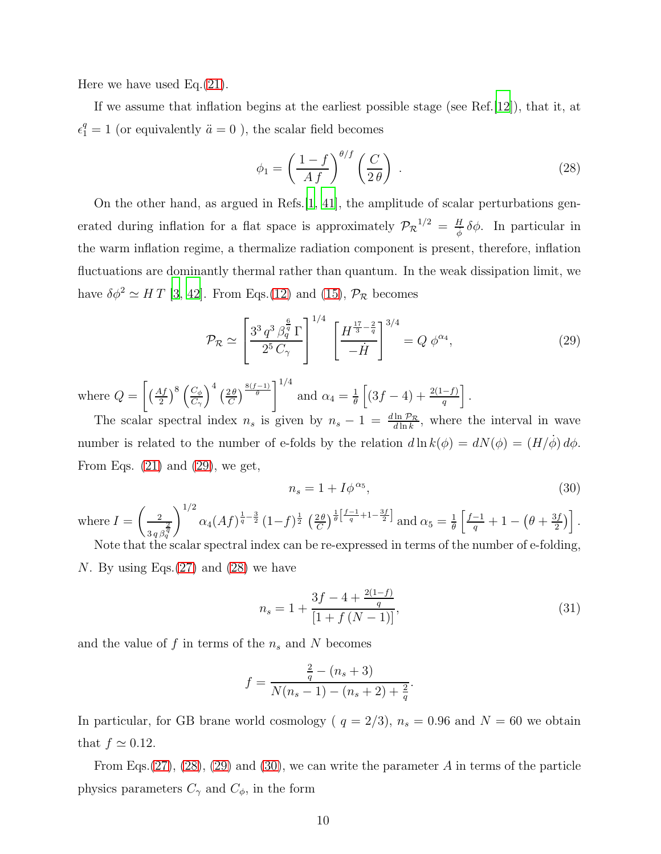Here we have used Eq.[\(21\)](#page-7-4).

If we assume that inflation begins at the earliest possible stage (see Ref.[\[12](#page-17-0)]), that it, at  $\epsilon_1^q = 1$  (or equivalently  $\ddot{a} = 0$ ), the scalar field becomes

<span id="page-9-1"></span>
$$
\phi_1 = \left(\frac{1-f}{Af}\right)^{\theta/f} \left(\frac{C}{2\theta}\right) \,. \tag{28}
$$

On the other hand, as argued in Refs.[\[1](#page-16-0), [41](#page-18-4)], the amplitude of scalar perturbations generated during inflation for a flat space is approximately  $\mathcal{P}_{\mathcal{R}}^{1/2} = \frac{H}{\dot{\phi}} \delta \phi$ . In particular in the warm inflation regime, a thermalize radiation component is present, therefore, inflation fluctuations are dominantly thermal rather than quantum. In the weak dissipation limit, we have  $\delta\phi^2 \simeq H T$  [\[3](#page-16-2), [42](#page-18-5)]. From Eqs.[\(12\)](#page-5-4) and [\(15\)](#page-6-1),  $\mathcal{P}_{\mathcal{R}}$  becomes

<span id="page-9-0"></span>
$$
\mathcal{P}_{\mathcal{R}} \simeq \left[ \frac{3^3 q^3 \beta_q^{\frac{6}{q}} \Gamma}{2^5 C_\gamma} \right]^{1/4} \left[ \frac{H^{\frac{17}{3} - \frac{2}{q}}}{-H} \right]^{3/4} = Q \phi^{\alpha_4}, \tag{29}
$$

where  $Q =$  $\left[\left(\frac{Af}{2}\right)^8\left(\frac{C_{\phi}}{C_{\gamma}}\right)\right]$  $C_\gamma$  $\bigg)^4 \bigg(\frac{2\theta}{C}\bigg)$  $\left(\frac{2\theta}{C}\right)^{\frac{8(f-1)}{\theta}}$ and  $\alpha_4 = \frac{1}{\theta}$  $\frac{1}{\theta} \left[ (3f-4) + \frac{2(1-f)}{q} \right].$ 

The scalar spectral index  $n_s$  is given by  $n_s - 1 = \frac{d \ln \mathcal{P}_{\mathcal{R}}}{d \ln k}$ , where the interval in wave number is related to the number of e-folds by the relation  $d\ln k(\phi) = dN(\phi) = (H/\dot{\phi}) d\phi$ . From Eqs.  $(21)$  and  $(29)$ , we get,

<span id="page-9-2"></span>
$$
n_s = 1 + I\phi^{\alpha_5},\tag{30}
$$

where  $I =$  $\begin{pmatrix} 2 \end{pmatrix}$  $3q\beta_q^{\tfrac{2}{q}}$  $\setminus$ <sup>1/2</sup>  $\alpha_4(Af)^{\frac{1}{q}-\frac{3}{2}}(1-f)^{\frac{1}{2}}\left(\frac{2\theta}{C}\right)$  $\frac{2\theta}{C}$ ) $\frac{1}{\theta} \left[ \frac{f-1}{q} + 1 - \frac{3f}{2} \right]$  and  $\alpha_5 = \frac{1}{\theta}$  $\frac{1}{\theta} \left[ \frac{f-1}{q} + 1 - \left( \theta + \frac{3f}{2} \right) \right]$  $\frac{3f}{2}$ ).

Note that the scalar spectral index can be re-expressed in terms of the number of e-folding, N. By using Eqs. $(27)$  and  $(28)$  we have

$$
n_s = 1 + \frac{3f - 4 + \frac{2(1-f)}{q}}{[1 + f(N-1)]},
$$
\n(31)

.

and the value of  $f$  in terms of the  $n_s$  and  $N$  becomes

$$
f = \frac{\frac{2}{q} - (n_s + 3)}{N(n_s - 1) - (n_s + 2) + \frac{2}{q}}
$$

In particular, for GB brane world cosmology ( $q = 2/3$ ),  $n_s = 0.96$  and  $N = 60$  we obtain that  $f \simeq 0.12$ .

From Eqs.  $(27)$ ,  $(28)$ ,  $(29)$  and  $(30)$ , we can write the parameter A in terms of the particle physics parameters  $C_{\gamma}$  and  $C_{\phi}$ , in the form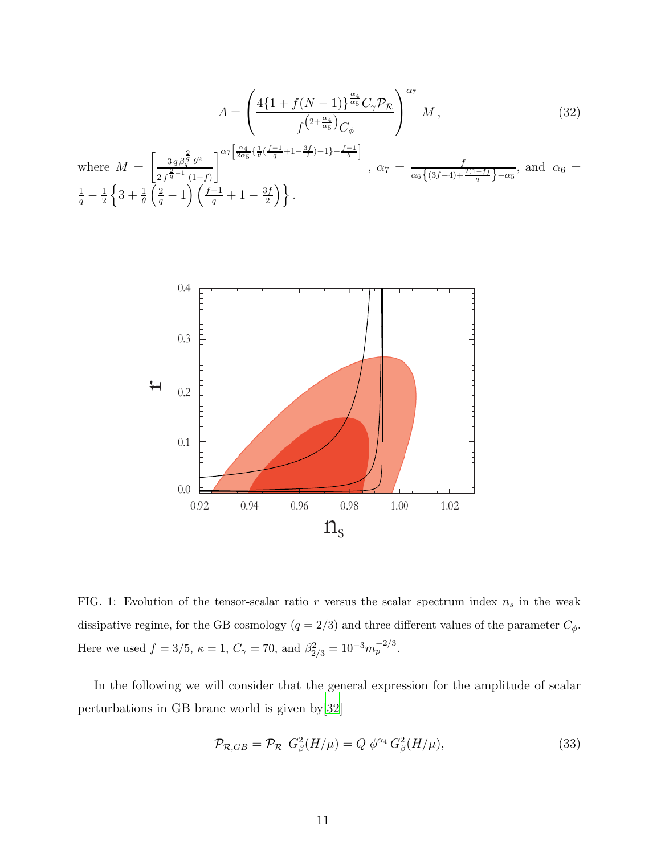$$
A = \left(\frac{4\{1+f(N-1)\}^{\frac{\alpha_4}{\alpha_5}}C_{\gamma}\mathcal{P}_\mathcal{R}}{f^{\left(2+\frac{\alpha_4}{\alpha_5}\right)}C_{\phi}}\right)^{\alpha_7}M\,,\tag{32}
$$

where  $M =$  $\int 3 q \beta_q^{\frac{2}{q}} \theta^2$  $2 f^{\frac{2}{q}-1}$  (1-f)  $\left.\int\limits_{0}^{\infty}\frac{\alpha_{4}}{2\alpha_{5}}\Big\{\frac{1}{\theta}\big(\frac{f-1}{q}+1-\frac{3f}{2}\big)-1\Big\}-\frac{f-1}{\theta}\right]$ ,  $\alpha_7 = \frac{f}{\alpha_6 \left\{ (3f-4) + \frac{2(1-f)}{q} \right\} - \alpha_5}$ , and  $\alpha_6 =$  $\frac{1}{q} - \frac{1}{2}$  $\frac{1}{2}\left\{3+\frac{1}{\theta}\left(\frac{2}{q}-1\right)\left(\frac{f-1}{q}+1-\frac{3f}{2}\right)\right.$  $\left\{\frac{3f}{2}\right\}$ .



<span id="page-10-1"></span>FIG. 1: Evolution of the tensor-scalar ratio r versus the scalar spectrum index  $n_s$  in the weak dissipative regime, for the GB cosmology  $(q = 2/3)$  and three different values of the parameter  $C_{\phi}$ . Here we used  $f = 3/5$ ,  $\kappa = 1$ ,  $C_{\gamma} = 70$ , and  $\beta_{2/3}^2 = 10^{-3} m_p^{-2/3}$ .

In the following we will consider that the general expression for the amplitude of scalar perturbations in GB brane world is given by[\[32\]](#page-17-18)

<span id="page-10-0"></span>
$$
\mathcal{P}_{\mathcal{R},GB} = \mathcal{P}_{\mathcal{R}} \ G_{\beta}^{2}(H/\mu) = Q \ \phi^{\alpha_4} \ G_{\beta}^{2}(H/\mu), \tag{33}
$$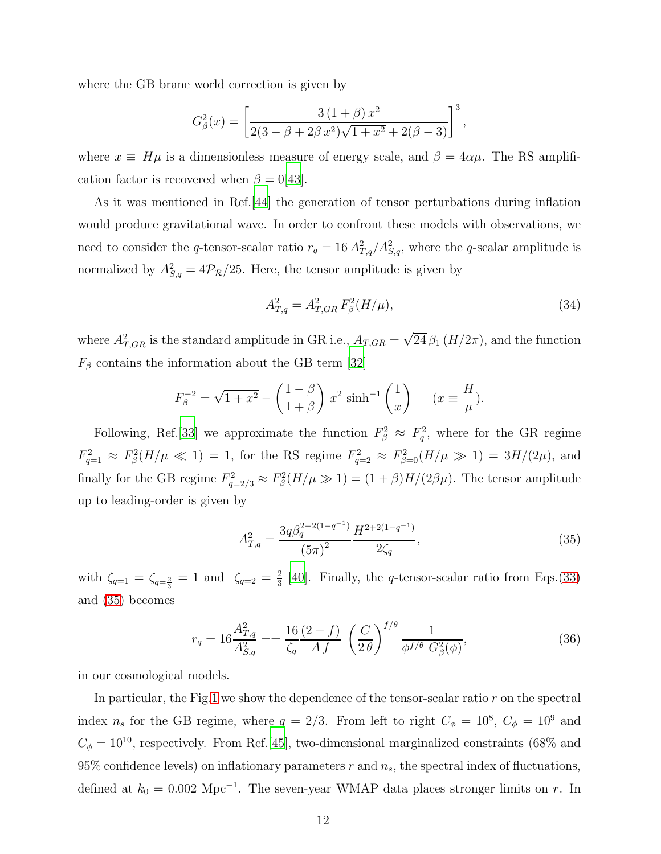where the GB brane world correction is given by

$$
G_{\beta}^{2}(x) = \left[\frac{3(1+\beta)x^{2}}{2(3-\beta+2\beta x^{2})\sqrt{1+x^{2}}+2(\beta-3)}\right]^{3},
$$

where  $x \equiv H\mu$  is a dimensionless measure of energy scale, and  $\beta = 4\alpha\mu$ . The RS amplification factor is recovered when  $\beta = 0$ [\[43\]](#page-18-6).

As it was mentioned in Ref.[\[44\]](#page-18-7) the generation of tensor perturbations during inflation would produce gravitational wave. In order to confront these models with observations, we need to consider the q-tensor-scalar ratio  $r_q = 16 A_{T,q}^2 / A_{S,q}^2$ , where the q-scalar amplitude is normalized by  $A_{S,q}^2 = 4\mathcal{P}_R/25$ . Here, the tensor amplitude is given by

$$
A_{T,q}^2 = A_{T,GR}^2 F_\beta^2(H/\mu),\tag{34}
$$

where  $A_{T,GR}^2$  is the standard amplitude in GR i.e.,  $A_{T,GR} = \sqrt{24} \beta_1 (H/2\pi)$ , and the function  $F_\beta$  contains the information about the GB term [\[32\]](#page-17-18)

$$
F_{\beta}^{-2} = \sqrt{1+x^2} - \left(\frac{1-\beta}{1+\beta}\right)x^2 \sinh^{-1}\left(\frac{1}{x}\right) \quad (x \equiv \frac{H}{\mu}).
$$

Following, Ref. [\[33](#page-17-19)] we approximate the function  $F_{\beta}^2 \approx F_q^2$ , where for the GR regime  $F_{q=1}^2 \approx F_\beta^2(H/\mu \ll 1) = 1$ , for the RS regime  $F_{q=2}^2 \approx F_{\beta=0}^2(H/\mu \gg 1) = 3H/(2\mu)$ , and finally for the GB regime  $F_{q=2/3}^2 \approx F_\beta^2(H/\mu \gg 1) = (1+\beta)H/(2\beta\mu)$ . The tensor amplitude up to leading-order is given by

<span id="page-11-0"></span>
$$
A_{T,q}^2 = \frac{3q\beta_q^{2-2(1-q^{-1})}}{(5\pi)^2} \frac{H^{2+2(1-q^{-1})}}{2\zeta_q},\tag{35}
$$

with  $\zeta_{q=1} = \zeta_{q=\frac{2}{3}} = 1$  and  $\zeta_{q=2} = \frac{2}{3}$  $\frac{2}{3}$  [\[40](#page-18-3)]. Finally, the *q*-tensor-scalar ratio from Eqs.[\(33\)](#page-10-0) and [\(35\)](#page-11-0) becomes

<span id="page-11-1"></span>
$$
r_q = 16 \frac{A_{T,q}^2}{A_{S,q}^2} = \frac{16}{\zeta_q} \frac{(2-f)}{Af} \left(\frac{C}{2\theta}\right)^{f/\theta} \frac{1}{\phi^{f/\theta} G_{\beta}^2(\phi)},
$$
(36)

in our cosmological models.

In particular, the Fig[.1](#page-10-1) we show the dependence of the tensor-scalar ratio  $r$  on the spectral index  $n_s$  for the GB regime, where  $q = 2/3$ . From left to right  $C_{\phi} = 10^8$ ,  $C_{\phi} = 10^9$  and  $C_{\phi} = 10^{10}$ , respectively. From Ref.[\[45\]](#page-18-8), two-dimensional marginalized constraints (68% and 95% confidence levels) on inflationary parameters  $r$  and  $n_s$ , the spectral index of fluctuations, defined at  $k_0 = 0.002 \text{ Mpc}^{-1}$ . The seven-year WMAP data places stronger limits on r. In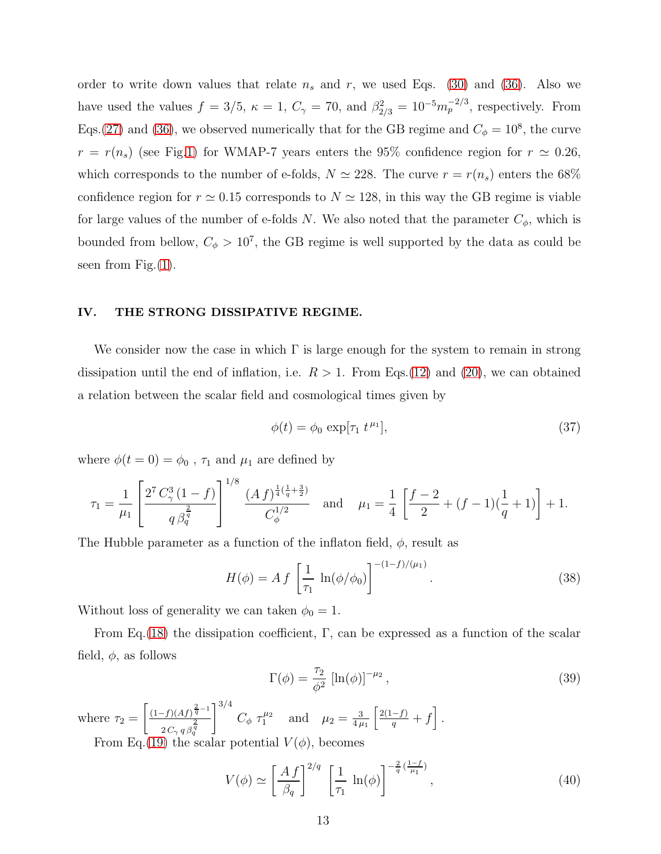order to write down values that relate  $n_s$  and  $r$ , we used Eqs. [\(30\)](#page-9-2) and [\(36\)](#page-11-1). Also we have used the values  $f = 3/5$ ,  $\kappa = 1$ ,  $C_{\gamma} = 70$ , and  $\beta_{2/3}^2 = 10^{-5} m_p^{-2/3}$ , respectively. From Eqs.[\(27\)](#page-8-0) and [\(36\)](#page-11-1), we observed numerically that for the GB regime and  $C_{\phi} = 10^8$ , the curve  $r = r(n_s)$  (see Fig[.1\)](#page-10-1) for WMAP-7 years enters the 95% confidence region for  $r \approx 0.26$ , which corresponds to the number of e-folds,  $N \simeq 228$ . The curve  $r = r(n_s)$  enters the 68% confidence region for  $r \approx 0.15$  corresponds to  $N \approx 128$ , in this way the GB regime is viable for large values of the number of e-folds N. We also noted that the parameter  $C_{\phi}$ , which is bounded from bellow,  $C_{\phi} > 10^{7}$ , the GB regime is well supported by the data as could be seen from Fig. $(1)$ .

#### <span id="page-12-0"></span>IV. THE STRONG DISSIPATIVE REGIME.

We consider now the case in which  $\Gamma$  is large enough for the system to remain in strong dissipation until the end of inflation, i.e.  $R > 1$ . From Eqs.[\(12\)](#page-5-4) and [\(20\)](#page-7-2), we can obtained a relation between the scalar field and cosmological times given by

<span id="page-12-1"></span>
$$
\phi(t) = \phi_0 \, \exp[\tau_1 \, t^{\mu_1}],\tag{37}
$$

where  $\phi(t=0)=\phi_0$  ,  $\tau_1$  and  $\mu_1$  are defined by

$$
\tau_1 = \frac{1}{\mu_1} \left[ \frac{2^7 C_\gamma^3 (1 - f)}{q \beta_q^{\frac{2}{q}}} \right]^{1/8} \frac{(A f)^{\frac{1}{4}(\frac{1}{q} + \frac{3}{2})}}{C_\phi^{1/2}} \quad \text{and} \quad \mu_1 = \frac{1}{4} \left[ \frac{f - 2}{2} + (f - 1)(\frac{1}{q} + 1) \right] + 1.
$$

The Hubble parameter as a function of the inflaton field,  $\phi$ , result as

$$
H(\phi) = A f \left[ \frac{1}{\tau_1} \ln(\phi/\phi_0) \right]^{-(1-f)/(\mu_1)}.
$$
 (38)

Without loss of generality we can taken  $\phi_0 = 1$ .

From Eq.[\(18\)](#page-7-1) the dissipation coefficient,  $\Gamma$ , can be expressed as a function of the scalar field,  $\phi$ , as follows

<span id="page-12-2"></span>
$$
\Gamma(\phi) = \frac{\tau_2}{\phi^2} \left[ \ln(\phi) \right]^{-\mu_2},\tag{39}
$$

where  $\tau_2 =$  $\int (1-f)(Af)^{\frac{2}{q}-1}$  $2\,C_\gamma\,q\,\beta_q^{\tfrac{2}{q}}$  $1^{3/4}$  $C_{\phi} \tau_1^{\mu_2}$  and  $\mu_2 = \frac{3}{4 \mu_1}$  $4\,\mu_{1}$  $\left\lceil \frac{2(1-f)}{q}+f\right\rceil$ . From Eq.[\(19\)](#page-7-3) the scalar potential  $V(\phi)$ , becomes

$$
V(\phi) \simeq \left[\frac{A\,f}{\beta_q}\right]^{2/q} \left[\frac{1}{\tau_1} \ln(\phi)\right]^{-\frac{2}{q}\left(\frac{1-f}{\mu_1}\right)},\tag{40}
$$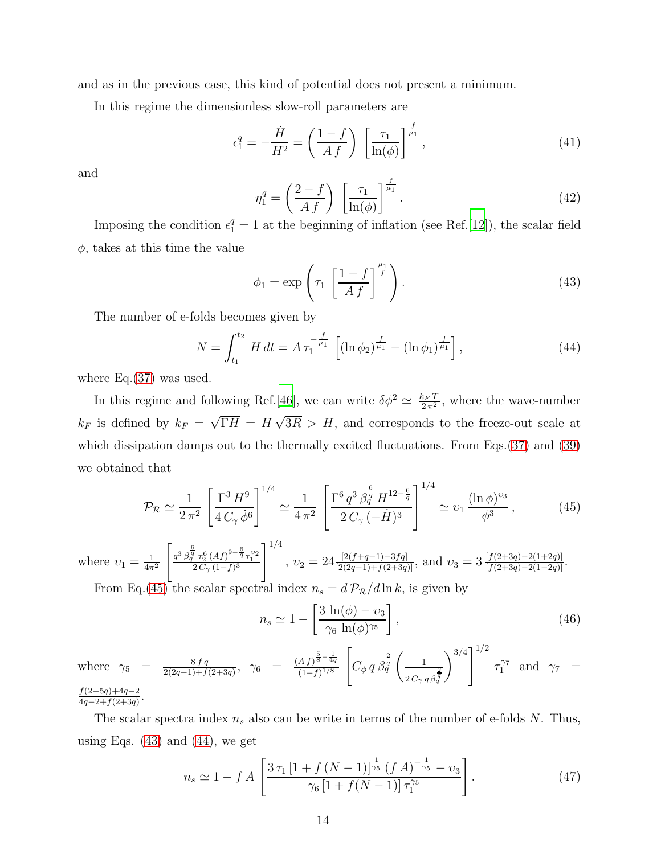and as in the previous case, this kind of potential does not present a minimum.

In this regime the dimensionless slow-roll parameters are

$$
\epsilon_1^q = -\frac{\dot{H}}{H^2} = \left(\frac{1-f}{Af}\right) \left[\frac{\tau_1}{\ln(\phi)}\right]^{\frac{f}{\mu_1}},\tag{41}
$$

and

$$
\eta_1^q = \left(\frac{2-f}{Af}\right) \left[\frac{\tau_1}{\ln(\phi)}\right]^{\frac{f}{\mu_1}}.\tag{42}
$$

Imposing the condition  $\epsilon_1^q = 1$  at the beginning of inflation (see Ref.[\[12](#page-17-0)]), the scalar field  $\phi$ , takes at this time the value

<span id="page-13-1"></span>
$$
\phi_1 = \exp\left(\tau_1 \left[\frac{1-f}{Af}\right]^{\frac{\mu_1}{f}}\right). \tag{43}
$$

The number of e-folds becomes given by

<span id="page-13-2"></span>
$$
N = \int_{t_1}^{t_2} H dt = A \tau_1^{-\frac{f}{\mu_1}} \left[ (\ln \phi_2)^{\frac{f}{\mu_1}} - (\ln \phi_1)^{\frac{f}{\mu_1}} \right], \tag{44}
$$

where  $Eq.(37)$  $Eq.(37)$  was used.

In this regime and following Ref.[\[46](#page-18-9)], we can write  $\delta\phi^2 \simeq \frac{k_F T}{2\pi^2}$ , where the wave-number  $k_F$  is defined by  $k_F = \sqrt{\Gamma H} = H\sqrt{3R} > H$ , and corresponds to the freeze-out scale at which dissipation damps out to the thermally excited fluctuations. From Eqs.[\(37\)](#page-12-1) and [\(39\)](#page-12-2) we obtained that

<span id="page-13-0"></span>
$$
\mathcal{P}_{\mathcal{R}} \simeq \frac{1}{2\,\pi^2} \left[ \frac{\Gamma^3 \, H^9}{4 \, C_\gamma \, \dot{\phi}^6} \right]^{1/4} \simeq \frac{1}{4\,\pi^2} \left[ \frac{\Gamma^6 \, q^3 \, \beta_q^{\frac{6}{q}} \, H^{12-\frac{6}{q}}}{2 \, C_\gamma \, (-\dot{H})^3} \right]^{1/4} \simeq \nu_1 \, \frac{(\ln \phi)^{\nu_3}}{\phi^3} \,, \tag{45}
$$

where  $v_1 = \frac{1}{4\pi}$  $4\pi^2$  $\left[ \frac{q^3 \beta_q^{\frac{6}{q}} \tau_2^6 (Af)^{9-\frac{6}{q}} \tau_1^{\nu_2}}{2C_{\gamma} (1-f)^3} \right]$  $1^{1/4}$ ,  $v_2 = 24 \frac{[2(f+q-1)-3fq]}{[2(2q-1)+f(2+3q)]}$ , and  $v_3 = 3 \frac{[f(2+3q)-2(1+2q)]}{[f(2+3q)-2(1-2q)]}$ . From Eq.[\(45\)](#page-13-0) the scalar spectral index  $n_s = d \mathcal{P}_R/d \ln k$ , is given by

<span id="page-13-3"></span>
$$
n_s \simeq 1 - \left[\frac{3\,\ln(\phi) - v_3}{\gamma_6\,\ln(\phi)^{\gamma_5}}\right],\tag{46}
$$

where  $\gamma_5 = \frac{8fq}{2(2a-1)+f}$  $\frac{8fq}{2(2q-1)+f(2+3q)},$   $\gamma_6 = \frac{(Af)^{\frac{5}{8}-\frac{1}{4q}}}{(1-f)^{1/8}}$  $(1-f)^{1/8}$  $\sqrt{ }$  $C_{\phi} q \overline{\beta_q^{\frac{2}{q}}}$  $\begin{pmatrix} 1 \end{pmatrix}$  $2\,C_\gamma\,q\,\beta_q^{\tfrac{2}{q}}$  $\left[\sqrt{\frac{3}{4}}\right]^{1/2}$  $\tau_1^{\gamma_7}$  and  $\gamma_7$  =  $f(2-5q)+4q-2$  $\frac{f(2-9q)+4q-2}{4q-2+f(2+3q)}$ .

The scalar spectra index  $n_s$  also can be write in terms of the number of e-folds N. Thus, using Eqs.  $(43)$  and  $(44)$ , we get

$$
n_s \simeq 1 - f A \left[ \frac{3 \,\tau_1 \left[ 1 + f \left( N - 1 \right) \right]^{\frac{1}{\gamma_5}} \left( f \, A \right)^{-\frac{1}{\gamma_5}} - \nu_3}{\gamma_6 \left[ 1 + f \left( N - 1 \right) \right] \tau_1^{\gamma_5}} \right]. \tag{47}
$$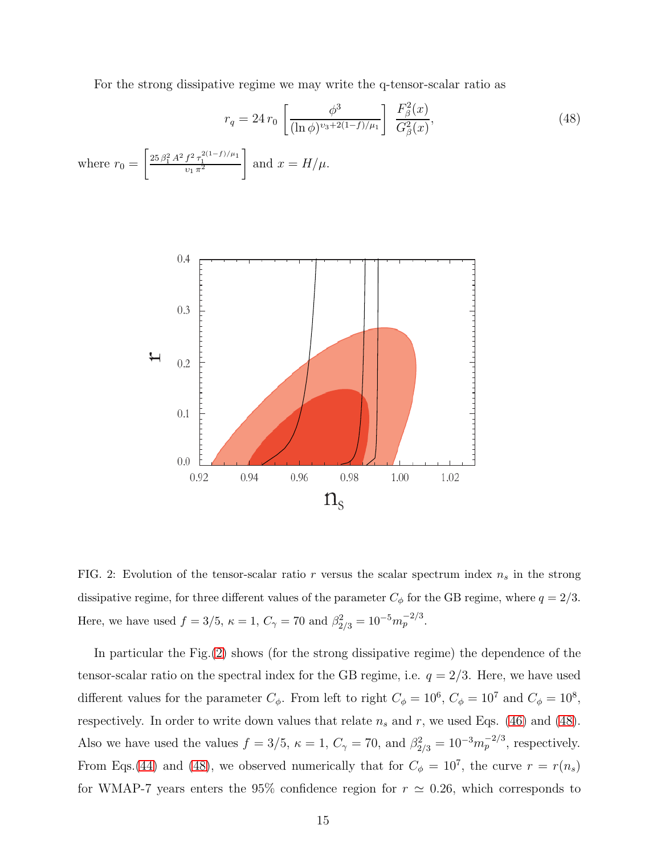<span id="page-14-1"></span>For the strong dissipative regime we may write the q-tensor-scalar ratio as

$$
r_q = 24 r_0 \left[ \frac{\phi^3}{(\ln \phi)^{v_3 + 2(1-f)/\mu_1}} \right] \frac{F_\beta^2(x)}{G_\beta^2(x)},
$$
  
where  $r_0 = \left[ \frac{25 \beta_1^2 A^2 f^2 \tau_1^{2(1-f)/\mu_1}}{v_1 \pi^2} \right]$  and  $x = H/\mu$ . (48)



<span id="page-14-0"></span>FIG. 2: Evolution of the tensor-scalar ratio r versus the scalar spectrum index  $n_s$  in the strong dissipative regime, for three different values of the parameter  $C_{\phi}$  for the GB regime, where  $q = 2/3$ . Here, we have used  $f = 3/5$ ,  $\kappa = 1$ ,  $C_{\gamma} = 70$  and  $\beta_{2/3}^2 = 10^{-5} m_p^{-2/3}$ .

In particular the Fig.[\(2\)](#page-14-0) shows (for the strong dissipative regime) the dependence of the tensor-scalar ratio on the spectral index for the GB regime, i.e.  $q = 2/3$ . Here, we have used different values for the parameter  $C_{\phi}$ . From left to right  $C_{\phi} = 10^{6}$ ,  $C_{\phi} = 10^{7}$  and  $C_{\phi} = 10^{8}$ , respectively. In order to write down values that relate  $n_s$  and  $r$ , we used Eqs. [\(46\)](#page-13-3) and [\(48\)](#page-14-1). Also we have used the values  $f = 3/5$ ,  $\kappa = 1$ ,  $C_{\gamma} = 70$ , and  $\beta_{2/3}^2 = 10^{-3} m_p^{-2/3}$ , respectively. From Eqs.[\(44\)](#page-13-2) and [\(48\)](#page-14-1), we observed numerically that for  $C_{\phi} = 10^{7}$ , the curve  $r = r(n_s)$ for WMAP-7 years enters the 95% confidence region for  $r \approx 0.26$ , which corresponds to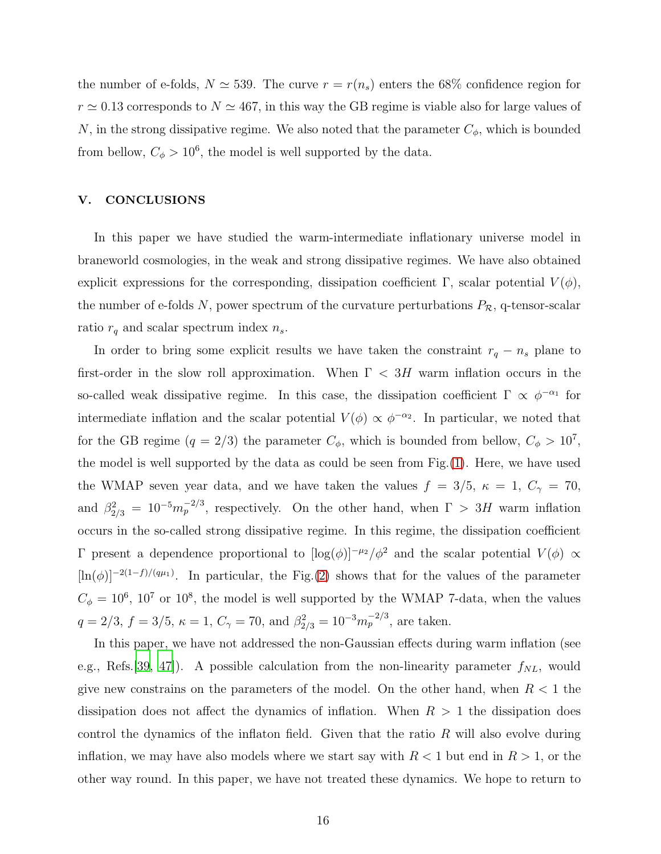the number of e-folds,  $N \approx 539$ . The curve  $r = r(n_s)$  enters the 68% confidence region for  $r \approx 0.13$  corresponds to  $N \approx 467$ , in this way the GB regime is viable also for large values of N, in the strong dissipative regime. We also noted that the parameter  $C_{\phi}$ , which is bounded from bellow,  $C_{\phi} > 10^6$ , the model is well supported by the data.

#### <span id="page-15-0"></span>V. CONCLUSIONS

In this paper we have studied the warm-intermediate inflationary universe model in braneworld cosmologies, in the weak and strong dissipative regimes. We have also obtained explicit expressions for the corresponding, dissipation coefficient Γ, scalar potential  $V(\phi)$ , the number of e-folds N, power spectrum of the curvature perturbations  $P_{\mathcal{R}}$ , q-tensor-scalar ratio  $r_q$  and scalar spectrum index  $n_s$ .

In order to bring some explicit results we have taken the constraint  $r_q - n_s$  plane to first-order in the slow roll approximation. When  $\Gamma < 3H$  warm inflation occurs in the so-called weak dissipative regime. In this case, the dissipation coefficient  $\Gamma \propto \phi^{-\alpha_1}$  for intermediate inflation and the scalar potential  $V(\phi) \propto \phi^{-\alpha_2}$ . In particular, we noted that for the GB regime  $(q = 2/3)$  the parameter  $C_{\phi}$ , which is bounded from bellow,  $C_{\phi} > 10^{7}$ , the model is well supported by the data as could be seen from Fig.[\(1\)](#page-10-1). Here, we have used the WMAP seven year data, and we have taken the values  $f = 3/5$ ,  $\kappa = 1$ ,  $C_{\gamma} = 70$ , and  $\beta_{2/3}^2 = 10^{-5} m_p^{-2/3}$ , respectively. On the other hand, when  $\Gamma > 3H$  warm inflation occurs in the so-called strong dissipative regime. In this regime, the dissipation coefficient Γ present a dependence proportional to  $[log(φ)]^{-\mu_2}/φ^2$  and the scalar potential  $V(φ)$  α  $[\ln(\phi)]^{-2(1-f)/(q\mu_1)}$ . In particular, the Fig.[\(2\)](#page-14-0) shows that for the values of the parameter  $C_{\phi} = 10^6$ , 10<sup>7</sup> or 10<sup>8</sup>, the model is well supported by the WMAP 7-data, when the values  $q = 2/3, f = 3/5, \kappa = 1, C_{\gamma} = 70, \text{ and } \beta_{2/3}^2 = 10^{-3} m_p^{-2/3}, \text{ are taken.}$ 

In this paper, we have not addressed the non-Gaussian effects during warm inflation (see e.g., Refs. [\[39,](#page-18-2) [47](#page-18-10)]). A possible calculation from the non-linearity parameter  $f_{NL}$ , would give new constrains on the parameters of the model. On the other hand, when  $R < 1$  the dissipation does not affect the dynamics of inflation. When  $R > 1$  the dissipation does control the dynamics of the inflaton field. Given that the ratio  $R$  will also evolve during inflation, we may have also models where we start say with  $R < 1$  but end in  $R > 1$ , or the other way round. In this paper, we have not treated these dynamics. We hope to return to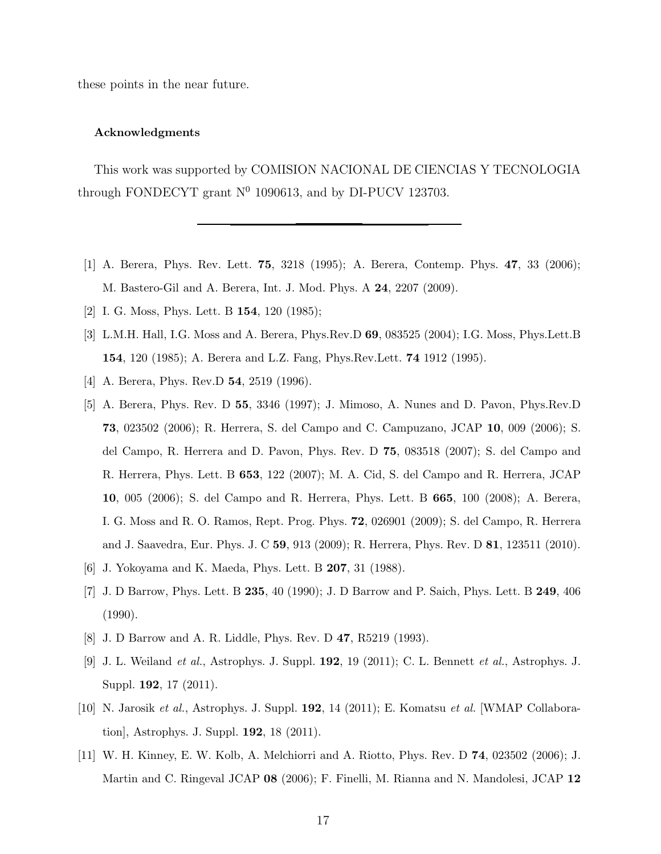these points in the near future.

#### Acknowledgments

This work was supported by COMISION NACIONAL DE CIENCIAS Y TECNOLOGIA through FONDECYT grant  $N^0$  1090613, and by DI-PUCV 123703.

- <span id="page-16-0"></span>[1] A. Berera, Phys. Rev. Lett. 75, 3218 (1995); A. Berera, Contemp. Phys. 47, 33 (2006); M. Bastero-Gil and A. Berera, Int. J. Mod. Phys. A 24, 2207 (2009).
- <span id="page-16-2"></span><span id="page-16-1"></span>[2] I. G. Moss, Phys. Lett. B **154**, 120 (1985);
- [3] L.M.H. Hall, I.G. Moss and A. Berera, Phys.Rev.D 69, 083525 (2004); I.G. Moss, Phys.Lett.B 154, 120 (1985); A. Berera and L.Z. Fang, Phys.Rev.Lett. 74 1912 (1995).
- <span id="page-16-4"></span><span id="page-16-3"></span>[4] A. Berera, Phys. Rev.D **54**, 2519 (1996).
- [5] A. Berera, Phys. Rev. D 55, 3346 (1997); J. Mimoso, A. Nunes and D. Pavon, Phys.Rev.D 73, 023502 (2006); R. Herrera, S. del Campo and C. Campuzano, JCAP 10, 009 (2006); S. del Campo, R. Herrera and D. Pavon, Phys. Rev. D 75, 083518 (2007); S. del Campo and R. Herrera, Phys. Lett. B 653, 122 (2007); M. A. Cid, S. del Campo and R. Herrera, JCAP 10, 005 (2006); S. del Campo and R. Herrera, Phys. Lett. B 665, 100 (2008); A. Berera, I. G. Moss and R. O. Ramos, Rept. Prog. Phys. 72, 026901 (2009); S. del Campo, R. Herrera and J. Saavedra, Eur. Phys. J. C 59, 913 (2009); R. Herrera, Phys. Rev. D 81, 123511 (2010).
- <span id="page-16-5"></span>[6] J. Yokoyama and K. Maeda, Phys. Lett. B 207, 31 (1988).
- <span id="page-16-6"></span>[7] J. D Barrow, Phys. Lett. B 235, 40 (1990); J. D Barrow and P. Saich, Phys. Lett. B 249, 406 (1990).
- <span id="page-16-8"></span><span id="page-16-7"></span>[8] J. D Barrow and A. R. Liddle, Phys. Rev. D 47, R5219 (1993).
- [9] J. L. Weiland et al., Astrophys. J. Suppl. 192, 19 (2011); C. L. Bennett et al., Astrophys. J. Suppl. 192, 17 (2011).
- <span id="page-16-9"></span>[10] N. Jarosik et al., Astrophys. J. Suppl. 192, 14 (2011); E. Komatsu et al. [WMAP Collaboration], Astrophys. J. Suppl. 192, 18 (2011).
- [11] W. H. Kinney, E. W. Kolb, A. Melchiorri and A. Riotto, Phys. Rev. D 74, 023502 (2006); J. Martin and C. Ringeval JCAP 08 (2006); F. Finelli, M. Rianna and N. Mandolesi, JCAP 12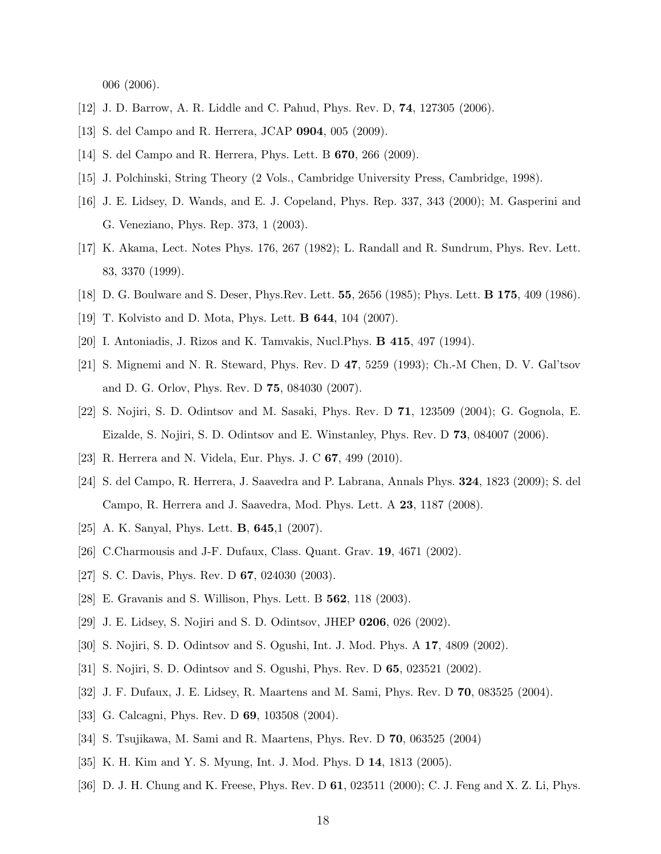006 (2006).

- <span id="page-17-1"></span><span id="page-17-0"></span>[12] J. D. Barrow, A. R. Liddle and C. Pahud, Phys. Rev. D, 74, 127305 (2006).
- <span id="page-17-2"></span>[13] S. del Campo and R. Herrera, JCAP 0904, 005 (2009).
- <span id="page-17-3"></span>[14] S. del Campo and R. Herrera, Phys. Lett. B 670, 266 (2009).
- <span id="page-17-4"></span>[15] J. Polchinski, String Theory (2 Vols., Cambridge University Press, Cambridge, 1998).
- [16] J. E. Lidsey, D. Wands, and E. J. Copeland, Phys. Rep. 337, 343 (2000); M. Gasperini and G. Veneziano, Phys. Rep. 373, 1 (2003).
- <span id="page-17-5"></span>[17] K. Akama, Lect. Notes Phys. 176, 267 (1982); L. Randall and R. Sundrum, Phys. Rev. Lett. 83, 3370 (1999).
- <span id="page-17-7"></span><span id="page-17-6"></span>[18] D. G. Boulware and S. Deser, Phys.Rev. Lett. 55, 2656 (1985); Phys. Lett. B 175, 409 (1986).
- <span id="page-17-8"></span>[19] T. Kolvisto and D. Mota, Phys. Lett. B 644, 104 (2007).
- <span id="page-17-9"></span>[20] I. Antoniadis, J. Rizos and K. Tamvakis, Nucl.Phys. B 415, 497 (1994).
- [21] S. Mignemi and N. R. Steward, Phys. Rev. D 47, 5259 (1993); Ch.-M Chen, D. V. Gal'tsov and D. G. Orlov, Phys. Rev. D 75, 084030 (2007).
- <span id="page-17-10"></span>[22] S. Nojiri, S. D. Odintsov and M. Sasaki, Phys. Rev. D 71, 123509 (2004); G. Gognola, E. Eizalde, S. Nojiri, S. D. Odintsov and E. Winstanley, Phys. Rev. D 73, 084007 (2006).
- <span id="page-17-11"></span>[23] R. Herrera and N. Videla, Eur. Phys. J. C 67, 499 (2010).
- <span id="page-17-12"></span>[24] S. del Campo, R. Herrera, J. Saavedra and P. Labrana, Annals Phys. 324, 1823 (2009); S. del Campo, R. Herrera and J. Saavedra, Mod. Phys. Lett. A 23, 1187 (2008).
- <span id="page-17-14"></span><span id="page-17-13"></span>[25] A. K. Sanyal, Phys. Lett. **B**, **645**,1 (2007).
- [26] C.Charmousis and J-F. Dufaux, Class. Quant. Grav. 19, 4671 (2002).
- [27] S. C. Davis, Phys. Rev. D **67**, 024030 (2003).
- <span id="page-17-15"></span>[28] E. Gravanis and S. Willison, Phys. Lett. B 562, 118 (2003).
- <span id="page-17-16"></span>[29] J. E. Lidsey, S. Nojiri and S. D. Odintsov, JHEP 0206, 026 (2002).
- [30] S. Nojiri, S. D. Odintsov and S. Ogushi, Int. J. Mod. Phys. A 17, 4809 (2002).
- <span id="page-17-17"></span>[31] S. Nojiri, S. D. Odintsov and S. Ogushi, Phys. Rev. D 65, 023521 (2002).
- <span id="page-17-18"></span>[32] J. F. Dufaux, J. E. Lidsey, R. Maartens and M. Sami, Phys. Rev. D 70, 083525 (2004).
- <span id="page-17-19"></span>[33] G. Calcagni, Phys. Rev. D **69**, 103508 (2004).
- <span id="page-17-20"></span>[34] S. Tsujikawa, M. Sami and R. Maartens, Phys. Rev. D 70, 063525 (2004)
- <span id="page-17-21"></span>[35] K. H. Kim and Y. S. Myung, Int. J. Mod. Phys. D 14, 1813 (2005).
- <span id="page-17-22"></span>[36] D. J. H. Chung and K. Freese, Phys. Rev. D 61, 023511 (2000); C. J. Feng and X. Z. Li, Phys.